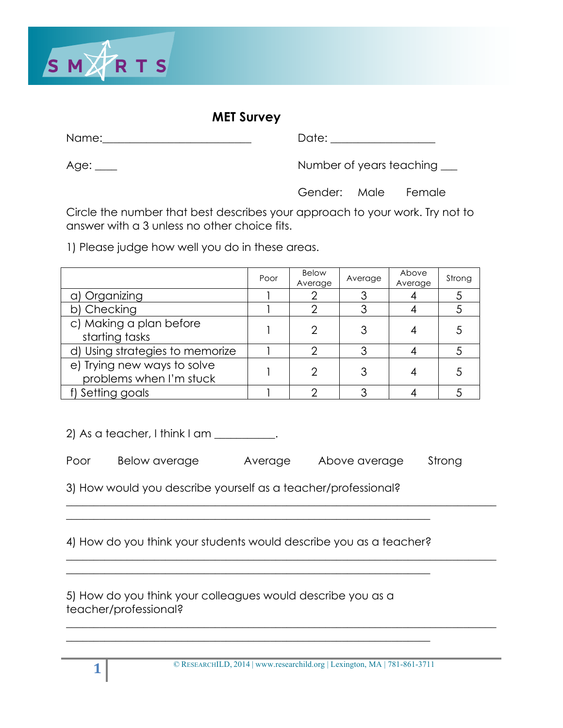

#### **MET Survey**

Name:\_\_\_\_\_\_\_\_\_\_\_\_\_\_\_\_\_\_\_\_\_\_\_\_\_\_\_ Date: \_\_\_\_\_\_\_\_\_\_\_\_\_\_\_\_\_\_\_

Age: \_\_\_\_ Age: \_\_\_\_ Age: \_\_\_\_ Number of years teaching \_\_\_

Gender: Male Female

Circle the number that best describes your approach to your work. Try not to answer with a 3 unless no other choice fits.

1) Please judge how well you do in these areas.

|                                                        | Poor | Below<br>Average | Average | Above<br>Average | Strong |
|--------------------------------------------------------|------|------------------|---------|------------------|--------|
| a) Organizing                                          |      |                  |         |                  |        |
| b) Checking                                            |      |                  | 3       |                  |        |
| c) Making a plan before<br>starting tasks              |      |                  |         |                  |        |
| d) Using strategies to memorize                        |      | ⌒                | 3       |                  |        |
| e) Trying new ways to solve<br>problems when I'm stuck |      | ◠                |         |                  |        |
| f) Setting goals                                       |      |                  | っ       |                  |        |

 $2)$  As a teacher, I think I am  $\frac{1}{2}$ .

Poor Below average Average Above average Strong

 $\_$  , and the set of the set of the set of the set of the set of the set of the set of the set of the set of the set of the set of the set of the set of the set of the set of the set of the set of the set of the set of th

\_\_\_\_\_\_\_\_\_\_\_\_\_\_\_\_\_\_\_\_\_\_\_\_\_\_\_\_\_\_\_\_\_\_\_\_\_\_\_\_\_\_\_\_\_\_\_\_\_\_\_\_\_\_\_\_\_\_\_\_\_\_\_\_\_\_\_\_\_\_\_\_\_\_\_\_\_\_

 $\_$  , and the set of the set of the set of the set of the set of the set of the set of the set of the set of the set of the set of the set of the set of the set of the set of the set of the set of the set of the set of th

3) How would you describe yourself as a teacher/professional?

4) How do you think your students would describe you as a teacher?

\_\_\_\_\_\_\_\_\_\_\_\_\_\_\_\_\_\_\_\_\_\_\_\_\_\_\_\_\_\_\_\_\_\_\_\_\_\_\_\_\_\_\_\_\_\_\_\_\_\_\_\_\_\_\_\_\_\_\_\_\_\_\_\_\_\_

\_\_\_\_\_\_\_\_\_\_\_\_\_\_\_\_\_\_\_\_\_\_\_\_\_\_\_\_\_\_\_\_\_\_\_\_\_\_\_\_\_\_\_\_\_\_\_\_\_\_\_\_\_\_\_\_\_\_\_\_\_\_\_\_\_\_

\_\_\_\_\_\_\_\_\_\_\_\_\_\_\_\_\_\_\_\_\_\_\_\_\_\_\_\_\_\_\_\_\_\_\_\_\_\_\_\_\_\_\_\_\_\_\_\_\_\_\_\_\_\_\_\_\_\_\_\_\_\_\_\_\_\_

5) How do you think your colleagues would describe you as a teacher/professional?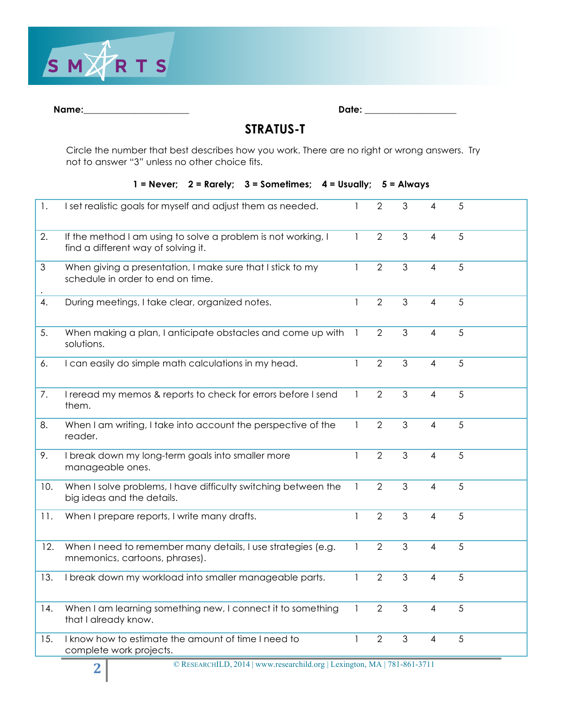

| ٧ | am |  |
|---|----|--|
|   |    |  |

| Name: | )ate:<br>-- |
|-------|-------------|
|       |             |

#### **STRATUS-T**

Circle the number that best describes how you work. There are no right or wrong answers. Try not to answer "3*"* unless no other choice fits.

#### **1 = Never; 2 = Rarely; 3 = Sometimes; 4 = Usually; 5 = Always**

| 1.  | I set realistic goals for myself and adjust them as needed.                                          |                | $\overline{2}$ | 3              | 4              | 5 |  |
|-----|------------------------------------------------------------------------------------------------------|----------------|----------------|----------------|----------------|---|--|
| 2.  | If the method I am using to solve a problem is not working, I<br>find a different way of solving it. | 1              | $\overline{2}$ | 3              | 4              | 5 |  |
| 3   | When giving a presentation, I make sure that I stick to my<br>schedule in order to end on time.      | $\mathbf{1}$   | $\overline{2}$ | 3              | $\overline{4}$ | 5 |  |
| 4.  | During meetings, I take clear, organized notes.                                                      | 1              | $\overline{2}$ | 3              | $\overline{4}$ | 5 |  |
| 5.  | When making a plan, I anticipate obstacles and come up with<br>solutions.                            | $\overline{1}$ | $\overline{2}$ | 3              | 4              | 5 |  |
| 6.  | I can easily do simple math calculations in my head.                                                 |                | $\overline{2}$ | 3              | 4              | 5 |  |
| 7.  | I reread my memos & reports to check for errors before I send<br>them.                               | 1              | $\overline{2}$ | 3              | 4              | 5 |  |
| 8.  | When I am writing, I take into account the perspective of the<br>reader.                             | 1              | $\overline{2}$ | 3              | $\overline{4}$ | 5 |  |
| 9.  | I break down my long-term goals into smaller more<br>manageable ones.                                | 1              | $\overline{2}$ | $\mathfrak{S}$ | 4              | 5 |  |
| 10. | When I solve problems, I have difficulty switching between the<br>big ideas and the details.         | 1              | $\overline{2}$ | 3              | $\overline{4}$ | 5 |  |
| 11. | When I prepare reports, I write many drafts.                                                         |                | $\overline{2}$ | 3              | 4              | 5 |  |
| 12. | When I need to remember many details, I use strategies (e.g.<br>mnemonics, cartoons, phrases).       | 1              | $\overline{2}$ | 3              | 4              | 5 |  |
| 13. | I break down my workload into smaller manageable parts.                                              |                | $\overline{2}$ | $\mathfrak{S}$ | 4              | 5 |  |
| 14. | When I am learning something new, I connect it to something<br>that I already know.                  | 1              | $\overline{2}$ | 3              | $\overline{4}$ | 5 |  |
| 15. | I know how to estimate the amount of time I need to<br>complete work projects.                       |                | $\overline{2}$ | 3              | $\overline{4}$ | 5 |  |

**2** © RESEARCHILD, 2014 | www.researchild.org | Lexington, MA | 781-861-3711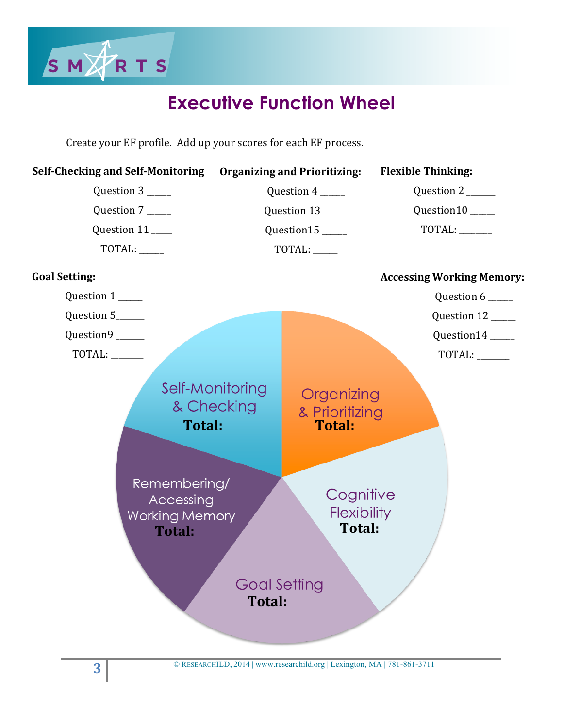

# **Executive Function Wheel**

Create your EF profile. Add up your scores for each EF process.

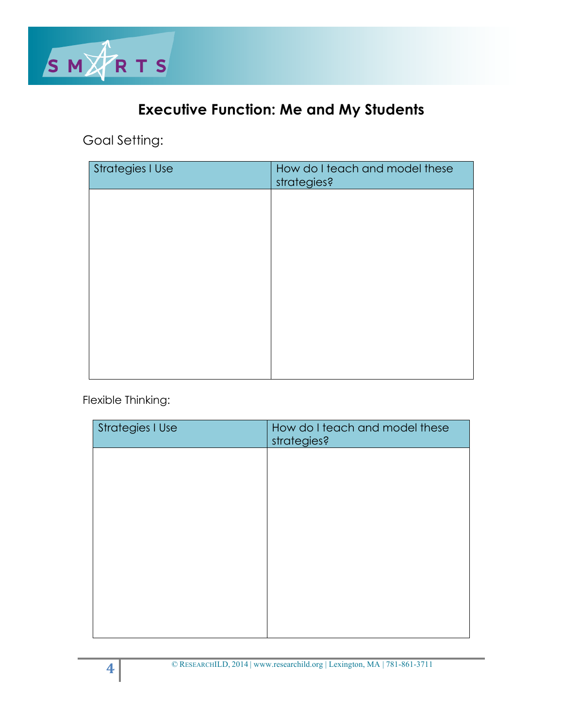![](_page_3_Picture_0.jpeg)

## **Executive Function: Me and My Students**

Goal Setting:

| <b>Strategies I Use</b> | How do I teach and model these<br>strategies? |
|-------------------------|-----------------------------------------------|
|                         |                                               |
|                         |                                               |
|                         |                                               |
|                         |                                               |
|                         |                                               |
|                         |                                               |
|                         |                                               |

Flexible Thinking:

| <b>Strategies I Use</b> | How do I teach and model these<br>strategies? |
|-------------------------|-----------------------------------------------|
|                         |                                               |
|                         |                                               |
|                         |                                               |
|                         |                                               |
|                         |                                               |
|                         |                                               |
|                         |                                               |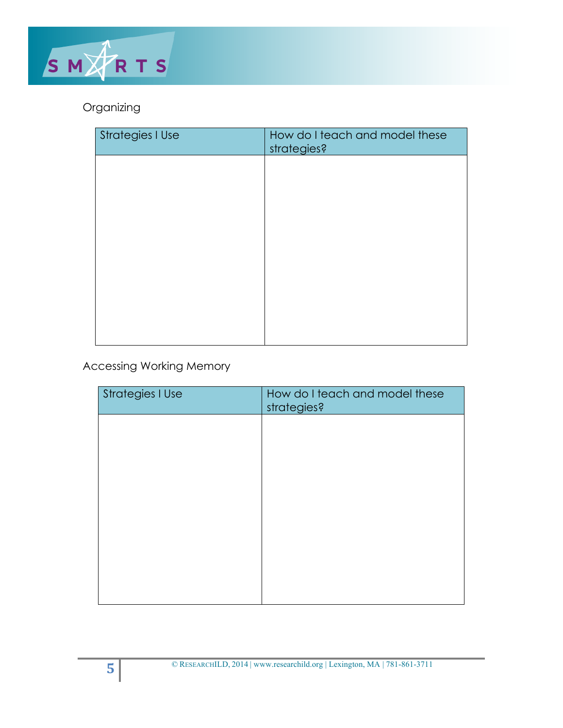![](_page_4_Picture_0.jpeg)

### Organizing

| Strategies I Use | How do I teach and model these<br>strategies? |
|------------------|-----------------------------------------------|
|                  |                                               |
|                  |                                               |
|                  |                                               |
|                  |                                               |
|                  |                                               |
|                  |                                               |
|                  |                                               |

### Accessing Working Memory

| <b>Strategies I Use</b> | How do I teach and model these<br>strategies? |
|-------------------------|-----------------------------------------------|
|                         |                                               |
|                         |                                               |
|                         |                                               |
|                         |                                               |
|                         |                                               |
|                         |                                               |
|                         |                                               |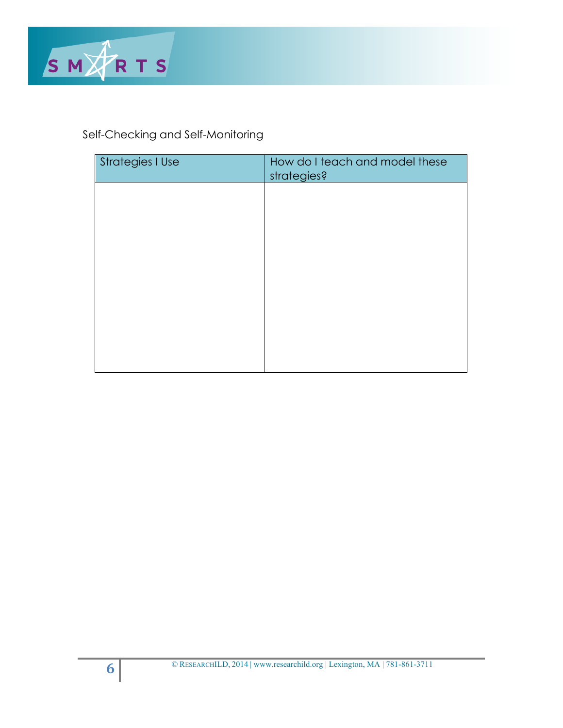![](_page_5_Picture_0.jpeg)

### Self-Checking and Self-Monitoring

| <b>Strategies I Use</b> | How do I teach and model these<br>strategies? |
|-------------------------|-----------------------------------------------|
|                         |                                               |
|                         |                                               |
|                         |                                               |
|                         |                                               |
|                         |                                               |
|                         |                                               |
|                         |                                               |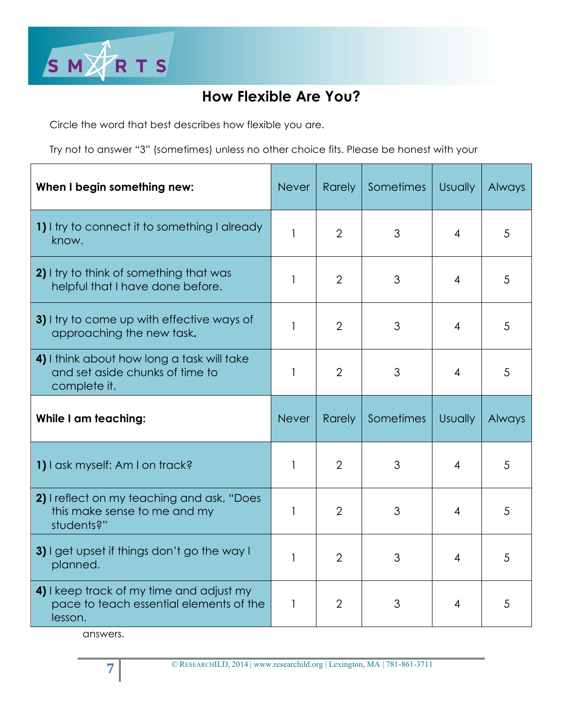![](_page_6_Picture_0.jpeg)

### **How Flexible Are You?**

Circle the word that best describes how flexible you are.

Try not to answer "3" (sometimes) unless no other choice fits. Please be honest with your

| When I begin something new:                                                                   | <b>Never</b> | <b>Rarely</b>  | Sometimes | <b>Usually</b> | Always |
|-----------------------------------------------------------------------------------------------|--------------|----------------|-----------|----------------|--------|
| 1) I try to connect it to something I already<br>know.                                        | $\mathbf{1}$ | $\overline{2}$ | 3         | $\overline{4}$ | 5      |
| 2) I try to think of something that was<br>helpful that I have done before.                   | 1            | $\overline{2}$ | 3         | 4              | 5      |
| 3) I try to come up with effective ways of<br>approaching the new task.                       | 1            | $\overline{2}$ | 3         | 4              | 5      |
| 4) I think about how long a task will take<br>and set aside chunks of time to<br>complete it. | 1            | $\overline{2}$ | 3         | 4              | 5      |
|                                                                                               |              |                |           |                |        |
| <b>While I am teaching:</b>                                                                   | <b>Never</b> | <b>Rarely</b>  | Sometimes | <b>Usually</b> | Always |
| 1) I ask myself: Am I on track?                                                               | 1            | $\overline{2}$ | 3         | 4              | 5      |
| 2) I reflect on my teaching and ask, "Does<br>this make sense to me and my<br>students?"      | 1            | $\overline{2}$ | 3         | 4              | 5      |
| 3) I get upset if things don't go the way I<br>planned.                                       | 1            | $\overline{2}$ | 3         | $\overline{4}$ | 5      |

answers.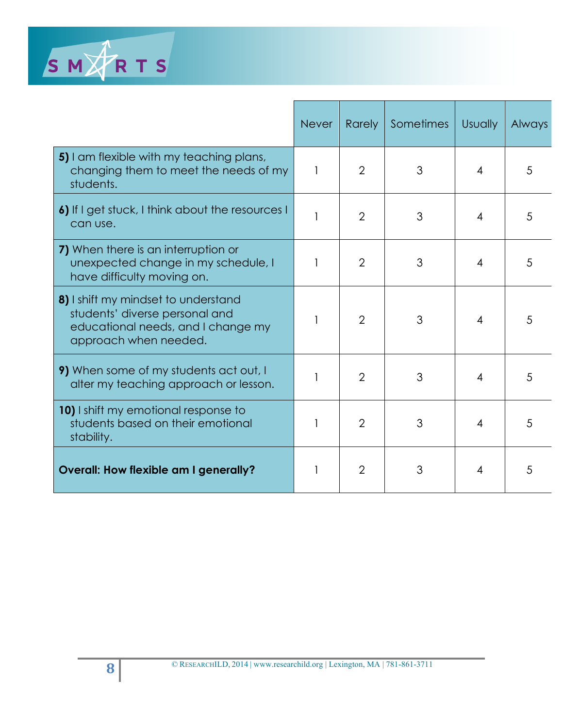![](_page_7_Picture_0.jpeg)

|                                                                                                                                      | <b>Never</b> | <b>Rarely</b>  | Sometimes | <b>Usually</b> | Always |
|--------------------------------------------------------------------------------------------------------------------------------------|--------------|----------------|-----------|----------------|--------|
| 5) I am flexible with my teaching plans,<br>changing them to meet the needs of my<br>students.                                       | 1            | $\overline{2}$ | 3         | 4              | 5      |
| 6) If I get stuck, I think about the resources I<br>can use.                                                                         |              | $\overline{2}$ | 3         | 4              | 5      |
| 7) When there is an interruption or<br>unexpected change in my schedule, I<br>have difficulty moving on.                             |              | $\overline{2}$ | 3         | 4              | 5      |
| 8) I shift my mindset to understand<br>students' diverse personal and<br>educational needs, and I change my<br>approach when needed. |              | $\overline{2}$ | 3         | 4              | 5      |
| 9) When some of my students act out, I<br>alter my teaching approach or lesson.                                                      |              | $\overline{2}$ | 3         | 4              | 5      |
| 10) I shift my emotional response to<br>students based on their emotional<br>stability.                                              |              | $\overline{2}$ | 3         | 4              | 5      |
| Overall: How flexible am I generally?                                                                                                |              | $\overline{2}$ | 3         | 4              | 5      |